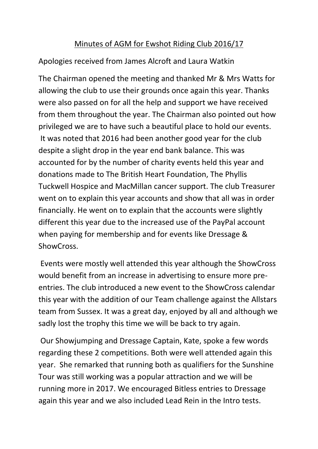## Minutes of AGM for Ewshot Riding Club 2016/17

Apologies received from James Alcroft and Laura Watkin

The Chairman opened the meeting and thanked Mr & Mrs Watts for allowing the club to use their grounds once again this year. Thanks were also passed on for all the help and support we have received from them throughout the year. The Chairman also pointed out how privileged we are to have such a beautiful place to hold our events. It was noted that 2016 had been another good year for the club despite a slight drop in the year end bank balance. This was accounted for by the number of charity events held this year and donations made to The British Heart Foundation, The Phyllis Tuckwell Hospice and MacMillan cancer support. The club Treasurer went on to explain this year accounts and show that all was in order financially. He went on to explain that the accounts were slightly different this year due to the increased use of the PayPal account when paying for membership and for events like Dressage & ShowCross.

Events were mostly well attended this year although the ShowCross would benefit from an increase in advertising to ensure more preentries. The club introduced a new event to the ShowCross calendar this year with the addition of our Team challenge against the Allstars team from Sussex. It was a great day, enjoyed by all and although we sadly lost the trophy this time we will be back to try again.

Our Showjumping and Dressage Captain, Kate, spoke a few words regarding these 2 competitions. Both were well attended again this year. She remarked that running both as qualifiers for the Sunshine Tour was still working was a popular attraction and we will be running more in 2017. We encouraged Bitless entries to Dressage again this year and we also included Lead Rein in the Intro tests.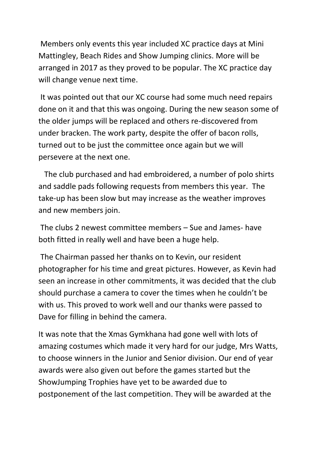Members only events this year included XC practice days at Mini Mattingley, Beach Rides and Show Jumping clinics. More will be arranged in 2017 as they proved to be popular. The XC practice day will change venue next time.

It was pointed out that our XC course had some much need repairs done on it and that this was ongoing. During the new season some of the older jumps will be replaced and others re-discovered from under bracken. The work party, despite the offer of bacon rolls, turned out to be just the committee once again but we will persevere at the next one.

 The club purchased and had embroidered, a number of polo shirts and saddle pads following requests from members this year. The take-up has been slow but may increase as the weather improves and new members join.

The clubs 2 newest committee members – Sue and James- have both fitted in really well and have been a huge help.

The Chairman passed her thanks on to Kevin, our resident photographer for his time and great pictures. However, as Kevin had seen an increase in other commitments, it was decided that the club should purchase a camera to cover the times when he couldn't be with us. This proved to work well and our thanks were passed to Dave for filling in behind the camera.

It was note that the Xmas Gymkhana had gone well with lots of amazing costumes which made it very hard for our judge, Mrs Watts, to choose winners in the Junior and Senior division. Our end of year awards were also given out before the games started but the ShowJumping Trophies have yet to be awarded due to postponement of the last competition. They will be awarded at the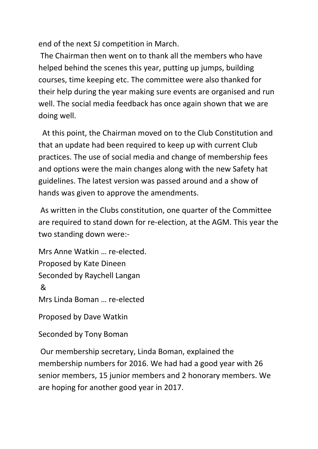end of the next SJ competition in March.

The Chairman then went on to thank all the members who have helped behind the scenes this year, putting up jumps, building courses, time keeping etc. The committee were also thanked for their help during the year making sure events are organised and run well. The social media feedback has once again shown that we are doing well.

 At this point, the Chairman moved on to the Club Constitution and that an update had been required to keep up with current Club practices. The use of social media and change of membership fees and options were the main changes along with the new Safety hat guidelines. The latest version was passed around and a show of hands was given to approve the amendments.

As written in the Clubs constitution, one quarter of the Committee are required to stand down for re-election, at the AGM. This year the two standing down were:-

Mrs Anne Watkin … re-elected. Proposed by Kate Dineen Seconded by Raychell Langan & Mrs Linda Boman … re-elected

Proposed by Dave Watkin

Seconded by Tony Boman

Our membership secretary, Linda Boman, explained the membership numbers for 2016. We had had a good year with 26 senior members, 15 junior members and 2 honorary members. We are hoping for another good year in 2017.